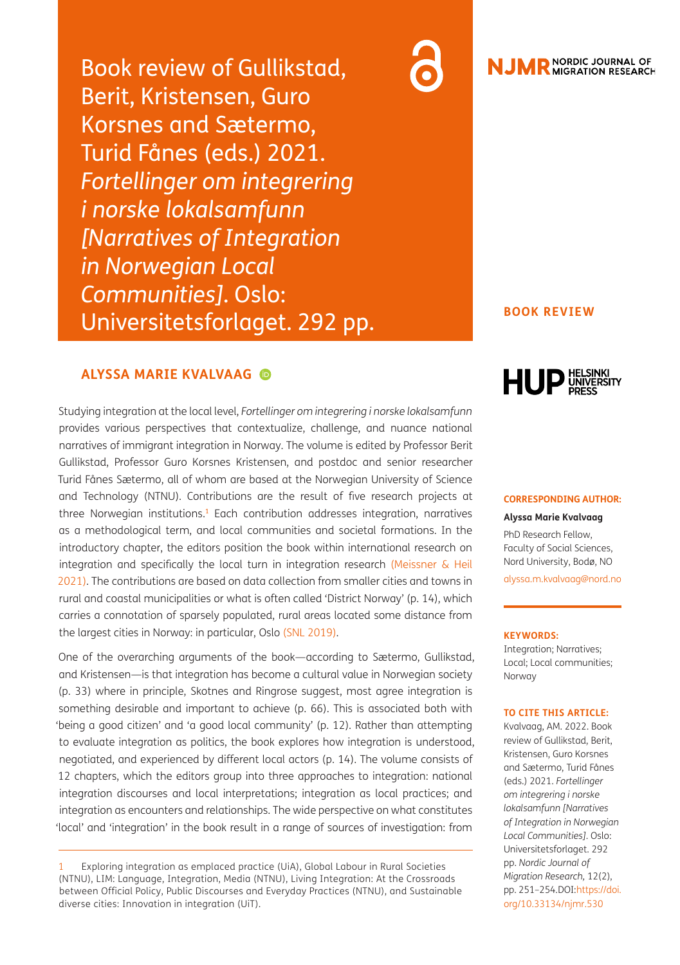Book review of Gullikstad, Berit, Kristensen, Guro Korsnes and Sætermo, Turid Fånes (eds.) 2021. *Fortellinger om integrering i norske lokalsamfunn [Narratives of Integration in Norwegian Local Communities]*. Oslo: Universitetsforlaget. 292 pp.

## **ALYSSA MARIE KVALVAAG**

Studying integration at the local level, *Fortellinger om integrering i norske lokalsamfunn*  provides various perspectives that contextualize, challenge, and nuance national narratives of immigrant integration in Norway. The volume is edited by Professor Berit Gullikstad, Professor Guro Korsnes Kristensen, and postdoc and senior researcher Turid Fånes Sætermo, all of whom are based at the Norwegian University of Science and Technology (NTNU). Contributions are the result of five research projects at three Norwegian institutions.<sup>[1](#page-0-0)</sup> Each contribution addresses integration, narratives as a methodological term, and local communities and societal formations. In the introductory chapter, the editors position the book within international research on integration and specifically the local turn in integration research [\(Meissner & Heil](#page-3-0) [2021\)](#page-3-0). The contributions are based on data collection from smaller cities and towns in rural and coastal municipalities or what is often called 'District Norway' (p. 14), which carries a connotation of sparsely populated, rural areas located some distance from the largest cities in Norway: in particular, Oslo [\(SNL 2019\).](#page-3-1)

One of the overarching arguments of the book—according to Sætermo, Gullikstad, and Kristensen—is that integration has become a cultural value in Norwegian society (p. 33) where in principle, Skotnes and Ringrose suggest, most agree integration is something desirable and important to achieve (p. 66). This is associated both with 'being a good citizen' and 'a good local community' (p. 12). Rather than attempting to evaluate integration as politics, the book explores how integration is understood, negotiated, and experienced by different local actors (p. 14). The volume consists of 12 chapters, which the editors group into three approaches to integration: national integration discourses and local interpretations; integration as local practices; and integration as encounters and relationships. The wide perspective on what constitutes 'local' and 'integration' in the book result in a range of sources of investigation: from

<span id="page-0-0"></span>Exploring integration as emplaced practice (UiA), Global Labour in Rural Societies (NTNU), LIM: Language, Integration, Media (NTNU), Living Integration: At the Crossroads between Official Policy, Public Discourses and Everyday Practices (NTNU), and Sustainable diverse cities: Innovation in integration (UiT).



### **BOOK REVIEW**



### **CORRESPONDING AUTHOR:**

**Alyssa Marie Kvalvaag** PhD Research Fellow, Faculty of Social Sciences, Nord University, Bodø, NO

[alyssa.m.kvalvaag@nord.no](mailto:alyssa.m.kvalvaag@nord.no)

#### **KEYWORDS:**

Integration; Narratives; Local; Local communities; Norway

#### **TO CITE THIS ARTICLE:**

Kvalvaag, AM. 2022. Book review of Gullikstad, Berit, Kristensen, Guro Korsnes and Sætermo, Turid Fånes (eds.) 2021. *Fortellinger om integrering i norske lokalsamfunn [Narratives of Integration in Norwegian Local Communities]*. Oslo: Universitetsforlaget. 292 pp. *Nordic Journal of Migration Research,* 12(2), pp. 251-254. DOI[: https://doi.](https://doi.org/10.33134/njmr.530) [org/10.33134/njmr.530](https://doi.org/10.33134/njmr.530)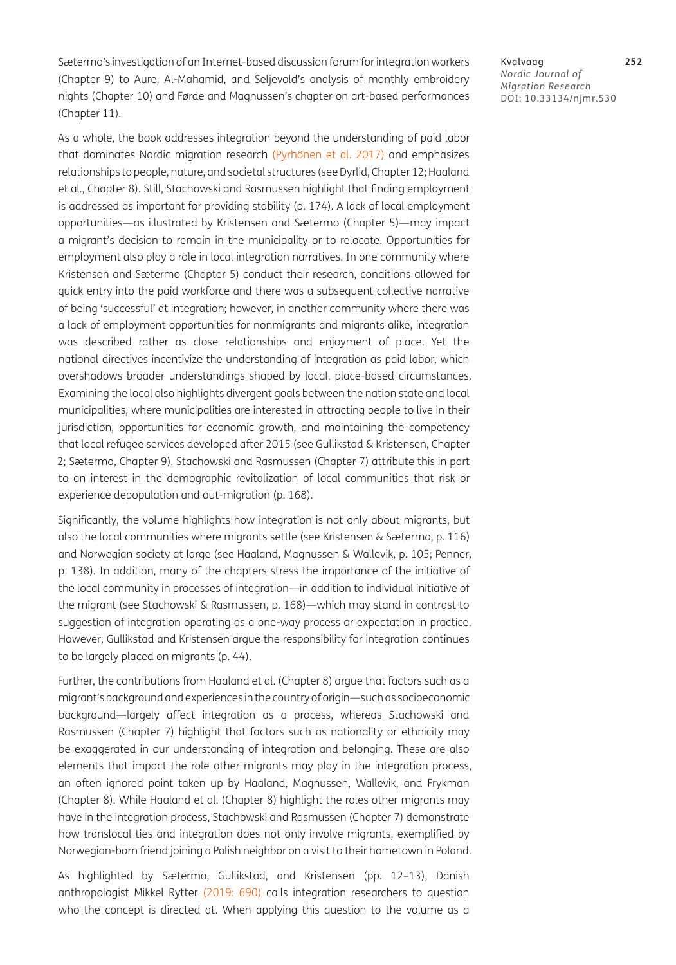Sætermo's investigation of an Internet-based discussion forum for integration workers (Chapter 9) to Aure, Al-Mahamid, and Seljevold's analysis of monthly embroidery nights (Chapter 10) and Førde and Magnussen's chapter on art-based performances (Chapter 11).

As a whole, the book addresses integration beyond the understanding of paid labor that dominates Nordic migration research (Pyrhönen et al. 2017) and emphasizes relationships to people, nature, and societal structures (see Dyrlid, Chapter 12; Haaland et al., Chapter 8). Still, Stachowski and Rasmussen highlight that finding employment is addressed as important for providing stability (p. 174). A lack of local employment opportunities—as illustrated by Kristensen and Sætermo (Chapter 5)—may impact a migrant's decision to remain in the municipality or to relocate. Opportunities for employment also play a role in local integration narratives. In one community where Kristensen and Sætermo (Chapter 5) conduct their research, conditions allowed for quick entry into the paid workforce and there was a subsequent collective narrative of being 'successful' at integration; however, in another community where there was a lack of employment opportunities for nonmigrants and migrants alike, integration was described rather as close relationships and enjoyment of place. Yet the national directives incentivize the understanding of integration as paid labor, which overshadows broader understandings shaped by local, place-based circumstances. Examining the local also highlights divergent goals between the nation state and local municipalities, where municipalities are interested in attracting people to live in their jurisdiction, opportunities for economic growth, and maintaining the competency that local refugee services developed after 2015 (see Gullikstad & Kristensen, Chapter 2; Sætermo, Chapter 9). Stachowski and Rasmussen (Chapter 7) attribute this in part to an interest in the demographic revitalization of local communities that risk or experience depopulation and out-migration (p. 168).

Significantly, the volume highlights how integration is not only about migrants, but also the local communities where migrants settle (see Kristensen & Sætermo, p. 116) and Norwegian society at large (see Haaland, Magnussen & Wallevik, p. 105; Penner, p. 138). In addition, many of the chapters stress the importance of the initiative of the local community in processes of integration—in addition to individual initiative of the migrant (see Stachowski & Rasmussen, p. 168)—which may stand in contrast to suggestion of integration operating as a one-way process or expectation in practice. However, Gullikstad and Kristensen argue the responsibility for integration continues to be largely placed on migrants (p. 44).

Further, the contributions from Haaland et al. (Chapter 8) argue that factors such as a migrant's background and experiences in the country of origin—such as socioeconomic background—largely affect integration as a process, whereas Stachowski and Rasmussen (Chapter 7) highlight that factors such as nationality or ethnicity may be exaggerated in our understanding of integration and belonging. These are also elements that impact the role other migrants may play in the integration process, an often ignored point taken up by Haaland, Magnussen, Wallevik, and Frykman (Chapter 8). While Haaland et al. (Chapter 8) highlight the roles other migrants may have in the integration process, Stachowski and Rasmussen (Chapter 7) demonstrate how translocal ties and integration does not only involve migrants, exemplified by Norwegian-born friend joining a Polish neighbor on a visit to their hometown in Poland.

As highlighted by Sætermo, Gullikstad, and Kristensen (pp. 12–13), Danish anthropologist Mikkel Rytter [\(2019: 690\)](#page-3-2) calls integration researchers to question who the concept is directed at. When applying this question to the volume as a

Kvalvaag **252** *Nordic Journal of Migration Research* DOI: 10.33134/njmr.530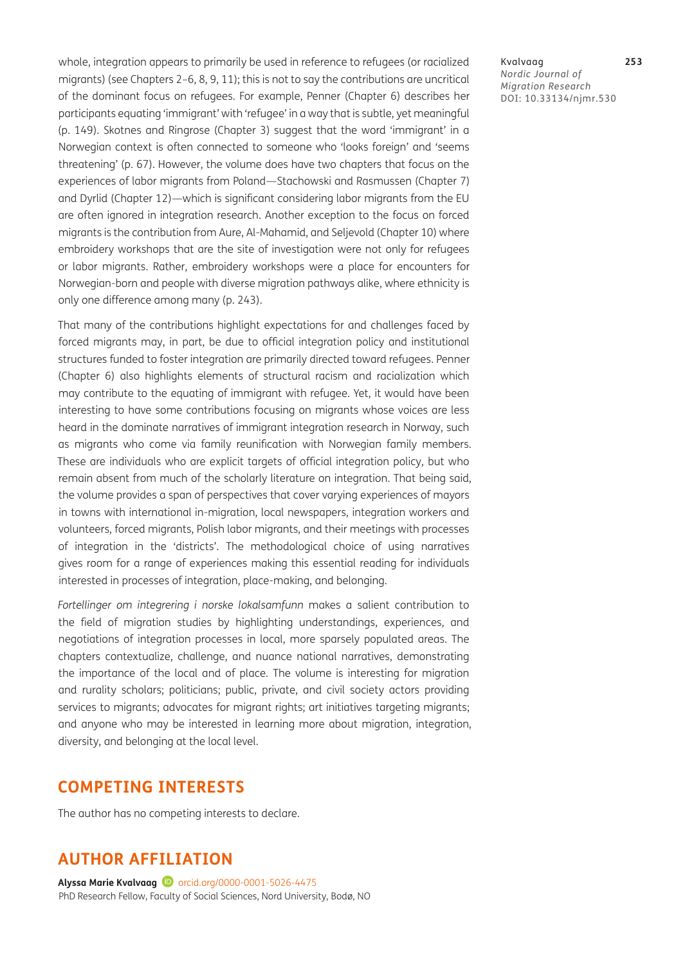whole, integration appears to primarily be used in reference to refugees (or racialized migrants) (see Chapters 2–6, 8, 9, 11); this is not to say the contributions are uncritical of the dominant focus on refugees. For example, Penner (Chapter 6) describes her participants equating 'immigrant' with 'refugee' in a way that is subtle, yet meaningful (p. 149). Skotnes and Ringrose (Chapter 3) suggest that the word 'immigrant' in a Norwegian context is often connected to someone who 'looks foreign' and 'seems threatening' (p. 67). However, the volume does have two chapters that focus on the experiences of labor migrants from Poland—Stachowski and Rasmussen (Chapter 7) and Dyrlid (Chapter 12)—which is significant considering labor migrants from the EU are often ignored in integration research. Another exception to the focus on forced migrants is the contribution from Aure, Al-Mahamid, and Seljevold (Chapter 10) where embroidery workshops that are the site of investigation were not only for refugees or labor migrants. Rather, embroidery workshops were a place for encounters for Norwegian-born and people with diverse migration pathways alike, where ethnicity is only one difference among many (p. 243).

That many of the contributions highlight expectations for and challenges faced by forced migrants may, in part, be due to official integration policy and institutional structures funded to foster integration are primarily directed toward refugees. Penner (Chapter 6) also highlights elements of structural racism and racialization which may contribute to the equating of immigrant with refugee. Yet, it would have been interesting to have some contributions focusing on migrants whose voices are less heard in the dominate narratives of immigrant integration research in Norway, such as migrants who come via family reunification with Norwegian family members. These are individuals who are explicit targets of official integration policy, but who remain absent from much of the scholarly literature on integration. That being said, the volume provides a span of perspectives that cover varying experiences of mayors in towns with international in-migration, local newspapers, integration workers and volunteers, forced migrants, Polish labor migrants, and their meetings with processes of integration in the 'districts'. The methodological choice of using narratives gives room for a range of experiences making this essential reading for individuals interested in processes of integration, place-making, and belonging.

*Fortellinger om integrering i norske lokalsamfunn* makes a salient contribution to the field of migration studies by highlighting understandings, experiences, and negotiations of integration processes in local, more sparsely populated areas. The chapters contextualize, challenge, and nuance national narratives, demonstrating the importance of the local and of place. The volume is interesting for migration and rurality scholars; politicians; public, private, and civil society actors providing services to migrants; advocates for migrant rights; art initiatives targeting migrants; and anyone who may be interested in learning more about migration, integration, diversity, and belonging at the local level.

## **COMPETING INTERESTS**

The author has no competing interests to declare.

# **AUTHOR AFFILIATION**

Alyssa Marie Kvalvaag<sup>D</sup> [orcid.org/0000-0001-5026-4475](https://orcid.org/0000-0001-5026-4475) PhD Research Fellow, Faculty of Social Sciences, Nord University, Bodø, NO Kvalvaag **253** *Nordic Journal of Migration Research* DOI: 10.33134/njmr.530